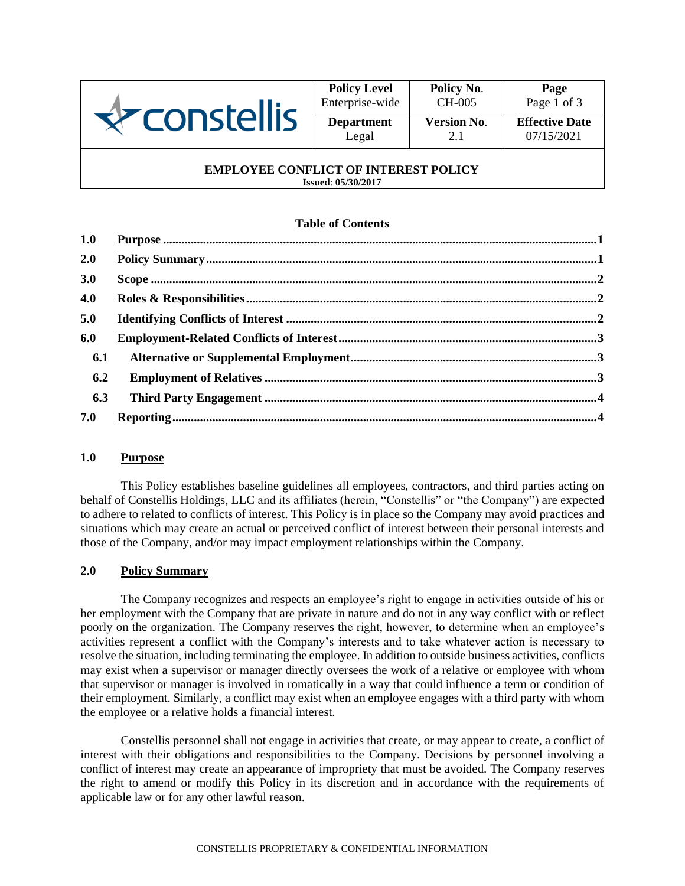

| <b>Policy Level</b> | Policy No.         | Page                  |  |
|---------------------|--------------------|-----------------------|--|
| Enterprise-wide     | CH-005             | Page 1 of 3           |  |
| <b>Department</b>   | <b>Version No.</b> | <b>Effective Date</b> |  |
| Legal               | 2.1                | 07/15/2021            |  |

#### **EMPLOYEE CONFLICT OF INTEREST POLICY Issued**: **05/30/2017**

## **Table of Contents**

| 1.0 |  |
|-----|--|
| 2.0 |  |
| 3.0 |  |
| 4.0 |  |
| 5.0 |  |
| 6.0 |  |
| 6.1 |  |
| 6.2 |  |
| 6.3 |  |
| 7.0 |  |

### <span id="page-0-0"></span>**1.0 Purpose**

This Policy establishes baseline guidelines all employees, contractors, and third parties acting on behalf of Constellis Holdings, LLC and its affiliates (herein, "Constellis" or "the Company") are expected to adhere to related to conflicts of interest. This Policy is in place so the Company may avoid practices and situations which may create an actual or perceived conflict of interest between their personal interests and those of the Company, and/or may impact employment relationships within the Company.

### <span id="page-0-1"></span>**2.0 Policy Summary**

The Company recognizes and respects an employee's right to engage in activities outside of his or her employment with the Company that are private in nature and do not in any way conflict with or reflect poorly on the organization. The Company reserves the right, however, to determine when an employee's activities represent a conflict with the Company's interests and to take whatever action is necessary to resolve the situation, including terminating the employee. In addition to outside business activities, conflicts may exist when a supervisor or manager directly oversees the work of a relative or employee with whom that supervisor or manager is involved in romatically in a way that could influence a term or condition of their employment. Similarly, a conflict may exist when an employee engages with a third party with whom the employee or a relative holds a financial interest.

Constellis personnel shall not engage in activities that create, or may appear to create, a conflict of interest with their obligations and responsibilities to the Company. Decisions by personnel involving a conflict of interest may create an appearance of impropriety that must be avoided. The Company reserves the right to amend or modify this Policy in its discretion and in accordance with the requirements of applicable law or for any other lawful reason.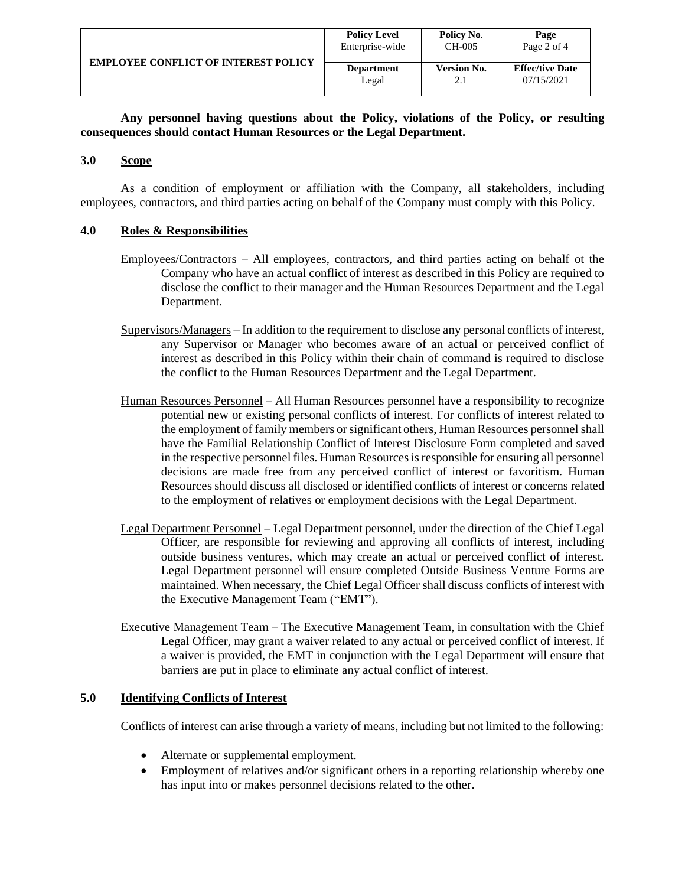|                                             | <b>Policy Level</b> | Policy No.         | Page                   |
|---------------------------------------------|---------------------|--------------------|------------------------|
|                                             | Enterprise-wide     | CH-005             | Page 2 of 4            |
| <b>EMPLOYEE CONFLICT OF INTEREST POLICY</b> | <b>Department</b>   | <b>Version No.</b> | <b>Effec/tive Date</b> |
|                                             | Legal               | 2.1                | 07/15/2021             |

**Any personnel having questions about the Policy, violations of the Policy, or resulting consequences should contact Human Resources or the Legal Department.**

### <span id="page-1-0"></span>**3.0 Scope**

As a condition of employment or affiliation with the Company, all stakeholders, including employees, contractors, and third parties acting on behalf of the Company must comply with this Policy.

### <span id="page-1-1"></span>**4.0 Roles & Responsibilities**

- Employees/Contractors All employees, contractors, and third parties acting on behalf ot the Company who have an actual conflict of interest as described in this Policy are required to disclose the conflict to their manager and the Human Resources Department and the Legal Department.
- Supervisors/Managers In addition to the requirement to disclose any personal conflicts of interest, any Supervisor or Manager who becomes aware of an actual or perceived conflict of interest as described in this Policy within their chain of command is required to disclose the conflict to the Human Resources Department and the Legal Department.
- Human Resources Personnel All Human Resources personnel have a responsibility to recognize potential new or existing personal conflicts of interest. For conflicts of interest related to the employment of family members or significant others, Human Resources personnel shall have the Familial Relationship Conflict of Interest Disclosure Form completed and saved in the respective personnel files. Human Resources is responsible for ensuring all personnel decisions are made free from any perceived conflict of interest or favoritism. Human Resources should discuss all disclosed or identified conflicts of interest or concerns related to the employment of relatives or employment decisions with the Legal Department.
- Legal Department Personnel Legal Department personnel, under the direction of the Chief Legal Officer, are responsible for reviewing and approving all conflicts of interest, including outside business ventures, which may create an actual or perceived conflict of interest. Legal Department personnel will ensure completed Outside Business Venture Forms are maintained. When necessary, the Chief Legal Officer shall discuss conflicts of interest with the Executive Management Team ("EMT").
- Executive Management Team The Executive Management Team, in consultation with the Chief Legal Officer, may grant a waiver related to any actual or perceived conflict of interest. If a waiver is provided, the EMT in conjunction with the Legal Department will ensure that barriers are put in place to eliminate any actual conflict of interest.

### <span id="page-1-2"></span>**5.0 Identifying Conflicts of Interest**

Conflicts of interest can arise through a variety of means, including but not limited to the following:

- Alternate or supplemental employment.
- Employment of relatives and/or significant others in a reporting relationship whereby one has input into or makes personnel decisions related to the other.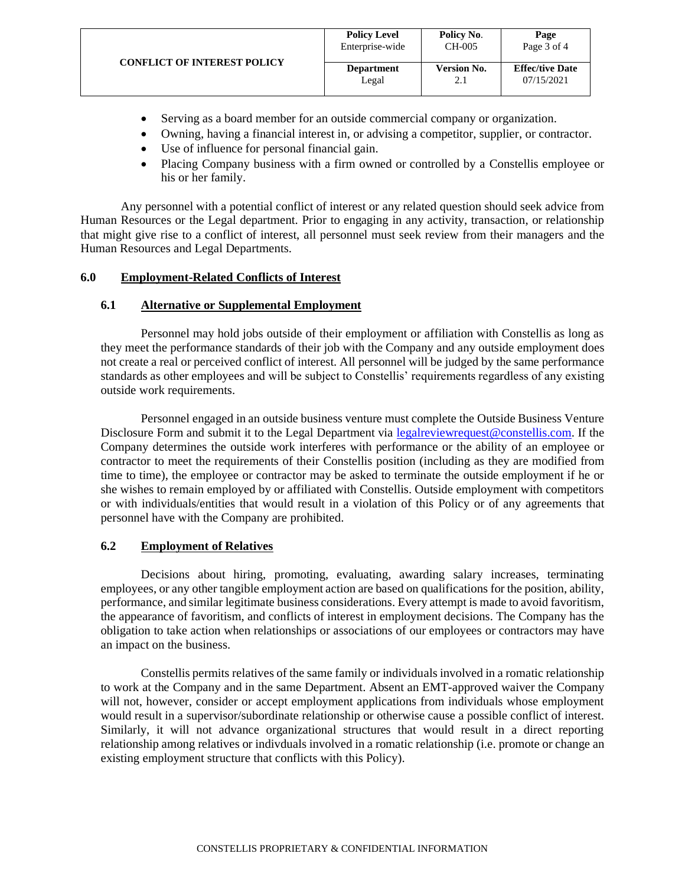|                                    | <b>Policy Level</b> | Policy No.         | Page                   |
|------------------------------------|---------------------|--------------------|------------------------|
|                                    | Enterprise-wide     | CH-005             | Page 3 of 4            |
| <b>CONFLICT OF INTEREST POLICY</b> | <b>Department</b>   | <b>Version No.</b> | <b>Effec/tive Date</b> |
|                                    | Legal               | 2.1                | 07/15/2021             |
|                                    |                     |                    |                        |

- Serving as a board member for an outside commercial company or organization.
- Owning, having a financial interest in, or advising a competitor, supplier, or contractor.
- Use of influence for personal financial gain.
- Placing Company business with a firm owned or controlled by a Constellis employee or his or her family.

Any personnel with a potential conflict of interest or any related question should seek advice from Human Resources or the Legal department. Prior to engaging in any activity, transaction, or relationship that might give rise to a conflict of interest, all personnel must seek review from their managers and the Human Resources and Legal Departments.

## <span id="page-2-0"></span>**6.0 Employment-Related Conflicts of Interest**

### <span id="page-2-1"></span>**6.1 Alternative or Supplemental Employment**

Personnel may hold jobs outside of their employment or affiliation with Constellis as long as they meet the performance standards of their job with the Company and any outside employment does not create a real or perceived conflict of interest. All personnel will be judged by the same performance standards as other employees and will be subject to Constellis' requirements regardless of any existing outside work requirements.

Personnel engaged in an outside business venture must complete the Outside Business Venture Disclosure Form and submit it to the Legal Department via [legalreviewrequest@constellis.com.](mailto:legalreviewrequest@constellis.com) If the Company determines the outside work interferes with performance or the ability of an employee or contractor to meet the requirements of their Constellis position (including as they are modified from time to time), the employee or contractor may be asked to terminate the outside employment if he or she wishes to remain employed by or affiliated with Constellis. Outside employment with competitors or with individuals/entities that would result in a violation of this Policy or of any agreements that personnel have with the Company are prohibited.

### <span id="page-2-2"></span>**6.2 Employment of Relatives**

Decisions about hiring, promoting, evaluating, awarding salary increases, terminating employees, or any other tangible employment action are based on qualifications for the position, ability, performance, and similar legitimate business considerations. Every attempt is made to avoid favoritism, the appearance of favoritism, and conflicts of interest in employment decisions. The Company has the obligation to take action when relationships or associations of our employees or contractors may have an impact on the business.

Constellis permits relatives of the same family or individuals involved in a romatic relationship to work at the Company and in the same Department. Absent an EMT-approved waiver the Company will not, however, consider or accept employment applications from individuals whose employment would result in a supervisor/subordinate relationship or otherwise cause a possible conflict of interest. Similarly, it will not advance organizational structures that would result in a direct reporting relationship among relatives or indivduals involved in a romatic relationship (i.e. promote or change an existing employment structure that conflicts with this Policy).